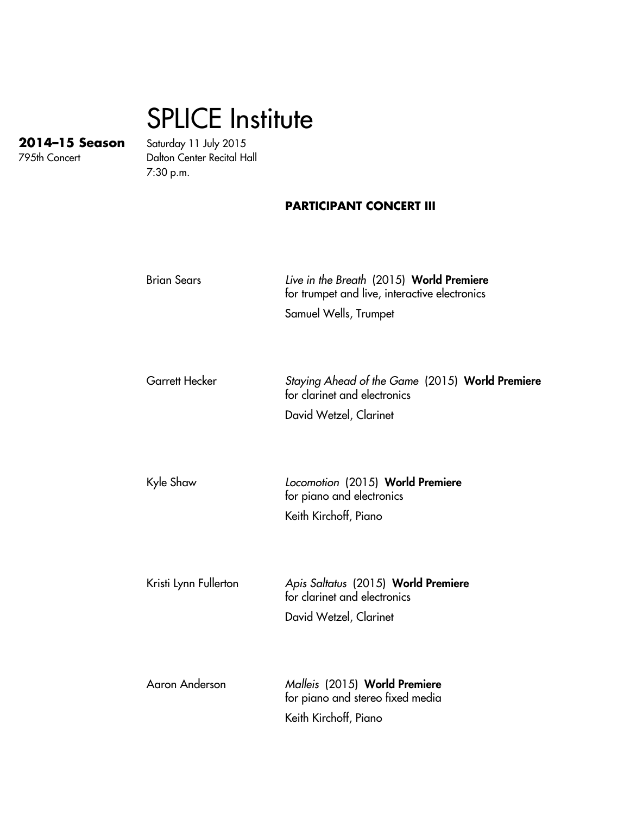## SPLICE Institute

**2014–15 Season** Saturday 11 July 2015 Dalton Center Recital Hall 7:30 p.m.

## **PARTICIPANT CONCERT III**

| <b>Brian Sears</b>    | Live in the Breath (2015) World Premiere<br>for trumpet and live, interactive electronics<br>Samuel Wells, Trumpet |
|-----------------------|--------------------------------------------------------------------------------------------------------------------|
| <b>Garrett Hecker</b> | Staying Ahead of the Game (2015) World Premiere<br>for clarinet and electronics<br>David Wetzel, Clarinet          |
| Kyle Shaw             | Locomotion (2015) World Premiere<br>for piano and electronics<br>Keith Kirchoff, Piano                             |
| Kristi Lynn Fullerton | Apis Saltatus (2015) World Premiere<br>for clarinet and electronics<br>David Wetzel, Clarinet                      |
| <b>Aaron Anderson</b> | Malleis (2015) World Premiere<br>for piano and stereo fixed media<br>Keith Kirchoff, Piano                         |